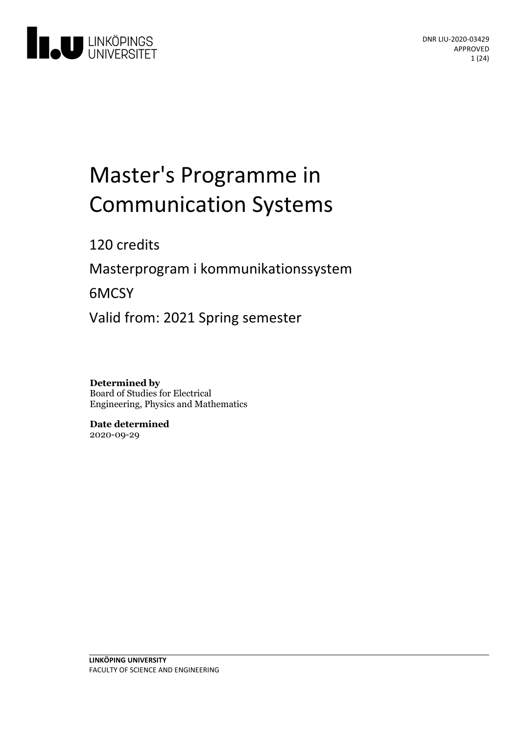

# Master's Programme in Communication Systems

120 credits

Masterprogram i kommunikationssystem

6MCSY

Valid from: 2021 Spring semester

**Determined by** Board of Studies for Electrical Engineering, Physics and Mathematics

**Date determined** 2020-09-29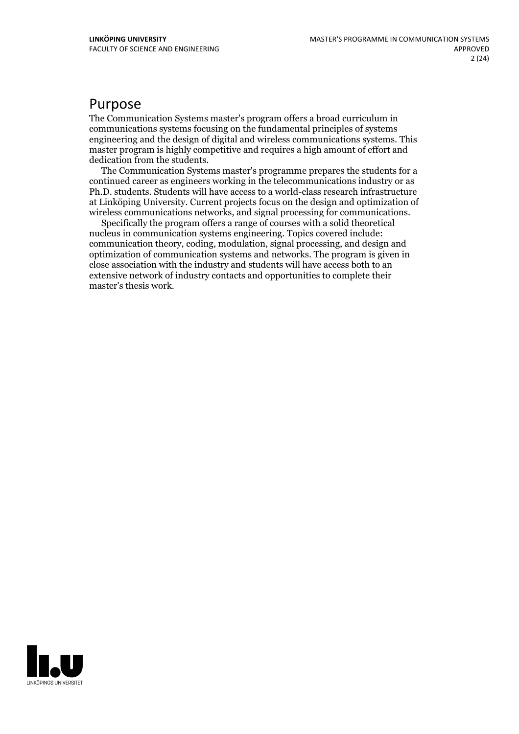# Purpose

The Communication Systems master's program offers a broad curriculum in communications systems focusing on the fundamental principles of systems engineering and the design of digital and wireless communications systems. This master program is highly competitive and requires a high amount of effort and

The Communication Systems master's programme prepares the students for a continued career as engineers working in the telecommunications industry or as Ph.D. students. Students will have access to a world-class research infrastructure at Linköping University. Current projects focus on the design and optimization of wireless communications networks, and signal processing for communications.<br>Specifically the program offers a range of courses with a solid theoretical

nucleus in communication systems engineering. Topics covered include: communication theory, coding, modulation, signal processing, and design and optimization of communication systems and networks. The program is given in close association with the industry and students will have access both to an extensive network of industry contacts and opportunities to complete their master's thesis work.

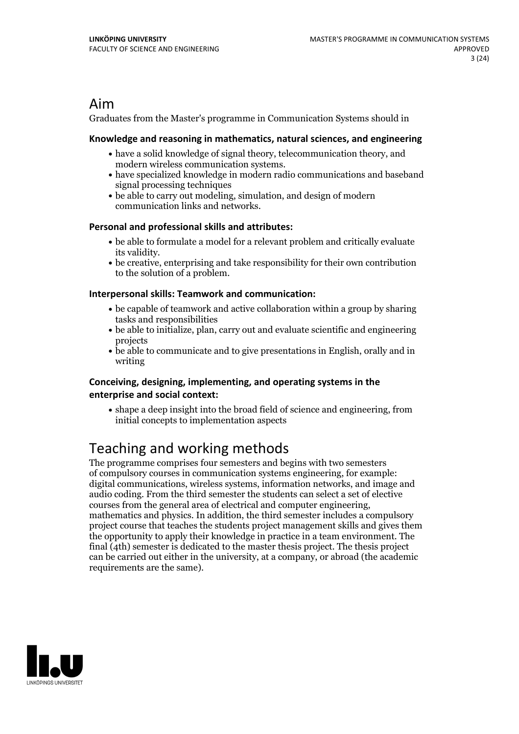# Aim

Graduates from the Master's programme in Communication Systems should in

### **Knowledge and reasoningin mathematics, natural sciences, and engineering**

- have a solid knowledge of signal theory, telecommunication theory, and
- modern wireless communication systems.<br>• have specialized knowledge in modern radio communications and baseband signal processing techniques
- be able to carry out modeling, simulation, and design of modern communication links and networks.

## **Personal and professional skills and attributes:**

- be able to formulate a model for a relevant problem and critically evaluate its validity.<br>• be creative, enterprising and take responsibility for their own contribution
- to the solution of a problem.

### **Interpersonal skills: Teamwork and communication:**

- be capable of teamwork and active collaboration within a group by sharing tasks and responsibilities
- be able to initialize, plan, carry out and evaluate scientific and engineering projects
- be able to communicate and to give presentations in English, orally and in writing

### **Conceiving, designing, implementing, and operatingsystems in the enterprise and social context:**

shape a deep insight into the broad field of science and engineering, from initial concepts to implementation aspects

# Teaching and working methods

The programme comprises four semesters and begins with two semesters of compulsory courses in communication systems engineering, for example: digital communications, wireless systems, information networks, and image and audio coding. From the third semester the students can select a set of elective mathematics and physics. In addition, the third semester includes a compulsory project course that teaches the students project management skills and gives them the opportunity to apply their knowledge in practice in a team environment. The final (4th) semester is dedicated to the master thesis project. The thesis project can be carried out either in the university, at a company, or abroad (the academic requirements are the same).

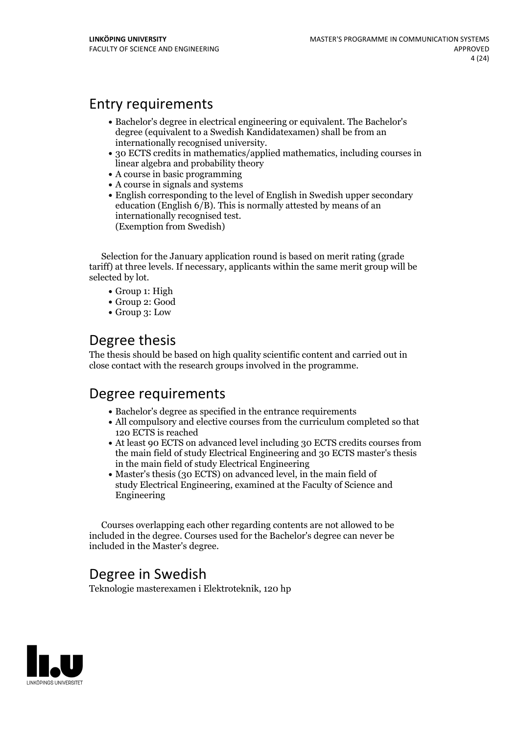# Entry requirements

- Bachelor's degree in electrical engineering or equivalent. The Bachelor's degree (equivalent to a Swedish Kandidatexamen) shall be from an
- internationally recognised university. <sup>30</sup> ECTS credits in mathematics/applied mathematics, including courses in linear algebra and probability theory
- A course in basic programming
- A course in signals and systems
- English corresponding to the level of English in Swedish upper secondary education (English 6/B). This is normally attested by means of an internationally recognised test. (Exemption from Swedish)

Selection for the January application round is based on merit rating (grade tariff) at three levels. If necessary, applicants within the same merit group will be selected by lot.

- Group 1: High
- Group 2: Good
- Group 3: Low

# Degree thesis

The thesis should be based on high quality scientific content and carried out in close contact with the research groups involved in the programme.

# Degree requirements

- Bachelor's degree as specified in the entrance requirements
- All compulsory and elective courses from the curriculum completed so that 120 ECTS is reached
- At least 90 ECTS on advanced level including 30 ECTS credits courses from the main field of study Electrical Engineering and 30 ECTS master's thesis in the main field of study Electrical Engineering
- Master's thesis (30 ECTS) on advanced level, in the main field of study Electrical Engineering, examined at the Faculty of Science and Engineering

Courses overlapping each other regarding contents are not allowed to be included in the degree. Courses used for the Bachelor's degree can never be included in the Master's degree.

# Degree in Swedish

Teknologie masterexamen i Elektroteknik, 120 hp

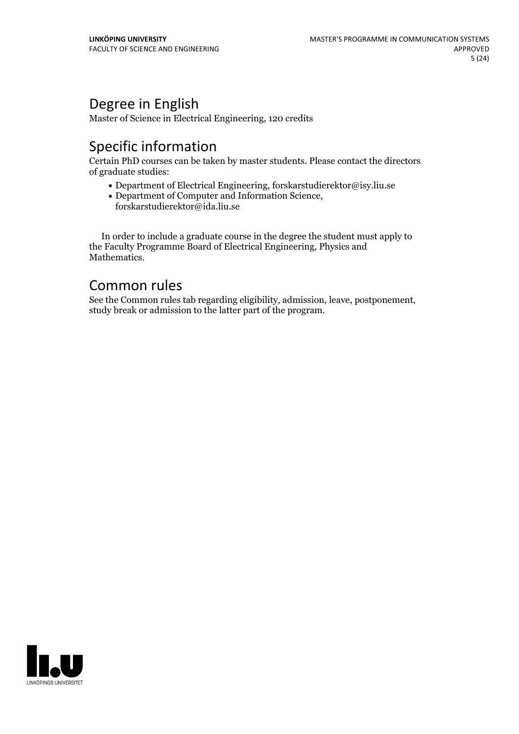# Degree in English

Master of Science in Electrical Engineering, 120 credits

# Specific information

Certain PhD courses can be taken by master students. Please contact the directors of graduate studies:

- Department of Electrical Engineering, forskarstudierektor@isy.liu.se
- Department of Computer and Information Science, forskarstudierektor@ida.liu.se

In order to include a graduate course in the degree the student must apply to the Faculty Programme Board of Electrical Engineering, Physics and Mathematics.

# Common rules

See the Common rules tab regarding eligibility, admission, leave, postponement, study break or admission to the latter part of the program.

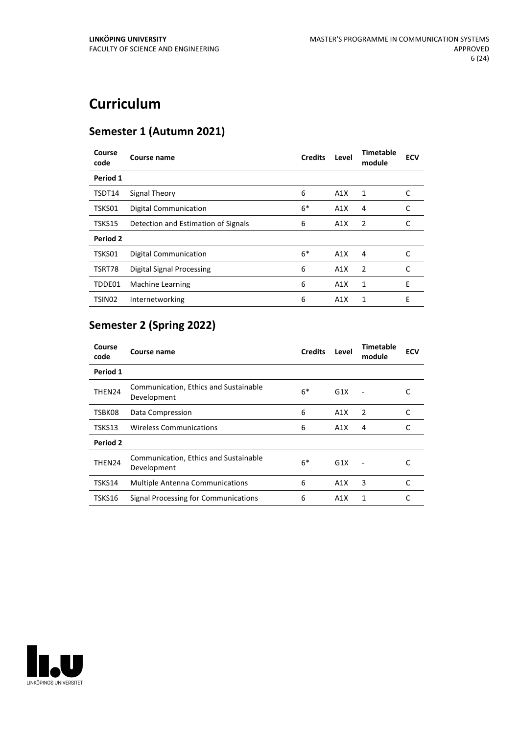# **Curriculum**

# **Semester 1 (Autumn 2021)**

| Course<br>code     | Course name                         | <b>Credits</b> | Level | Timetable<br>module | <b>ECV</b> |
|--------------------|-------------------------------------|----------------|-------|---------------------|------------|
| Period 1           |                                     |                |       |                     |            |
| TSDT14             | Signal Theory                       | 6              | A1X   | 1                   | C          |
| TSKS01             | <b>Digital Communication</b>        | $6*$           | A1X   | 4                   | C          |
| TSKS15             | Detection and Estimation of Signals | 6              | A1X   | 2                   | C          |
| Period 2           |                                     |                |       |                     |            |
| TSKS01             | <b>Digital Communication</b>        | $6*$           | A1X   | 4                   | C          |
| TSRT78             | Digital Signal Processing           | 6              | A1X   | 2                   | C          |
| TDDE01             | Machine Learning                    | 6              | A1X   | 1                   | E          |
| TSIN <sub>02</sub> | Internetworking                     | 6              | A1X   | 1                   | Е          |

# **Semester 2 (Spring 2022)**

| Course<br>code | Course name                                          | <b>Credits</b> | Level | Timetable<br>module | <b>ECV</b> |
|----------------|------------------------------------------------------|----------------|-------|---------------------|------------|
| Period 1       |                                                      |                |       |                     |            |
| THEN24         | Communication, Ethics and Sustainable<br>Development | $6*$           | G1X   |                     |            |
| TSBK08         | Data Compression                                     | 6              | A1X   | 2                   | C          |
| TSKS13         | <b>Wireless Communications</b>                       | 6              | A1X   | 4                   |            |
| Period 2       |                                                      |                |       |                     |            |
| THEN24         | Communication, Ethics and Sustainable<br>Development | 6*             | G1X   |                     |            |
| TSKS14         | <b>Multiple Antenna Communications</b>               | 6              | A1X   | 3                   | C          |
| TSKS16         | Signal Processing for Communications                 | 6              | A1X   | 1                   |            |

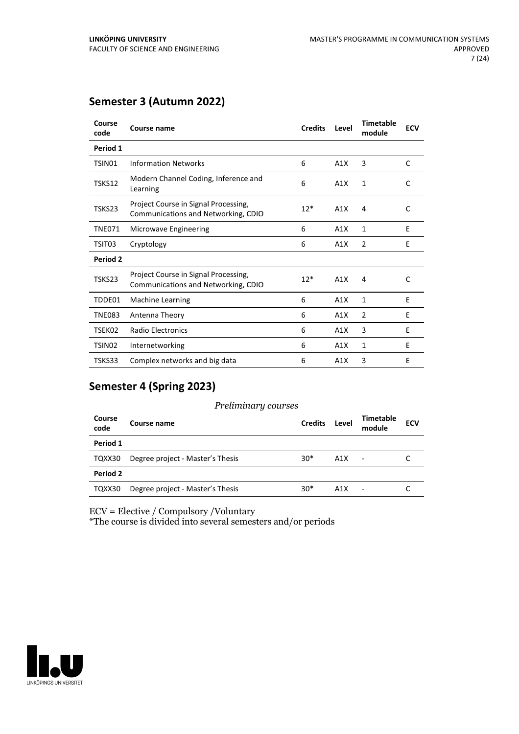# **Semester 3 (Autumn 2022)**

| Course<br>code     | <b>Course name</b>                                                          | <b>Credits</b> | Level | <b>Timetable</b><br>module | <b>ECV</b> |
|--------------------|-----------------------------------------------------------------------------|----------------|-------|----------------------------|------------|
| Period 1           |                                                                             |                |       |                            |            |
| TSIN01             | <b>Information Networks</b>                                                 | 6              | A1X   | 3                          | C          |
| TSKS12             | Modern Channel Coding, Inference and<br>Learning                            | 6              | A1X   | 1                          | C          |
| TSKS23             | Project Course in Signal Processing,<br>Communications and Networking, CDIO | $12*$          | A1X   | 4                          | C          |
| <b>TNE071</b>      | Microwave Engineering                                                       | 6              | A1X   | 1                          | E          |
| TSIT03             | Cryptology                                                                  | 6              | A1X   | 2                          | E          |
| Period 2           |                                                                             |                |       |                            |            |
| TSKS23             | Project Course in Signal Processing,<br>Communications and Networking, CDIO | $12*$          | A1X   | 4                          | C          |
| TDDE01             | <b>Machine Learning</b>                                                     | 6              | A1X   | 1                          | E          |
| <b>TNE083</b>      | Antenna Theory                                                              | 6              | A1X   | 2                          | E          |
| TSEK02             | <b>Radio Electronics</b>                                                    | 6              | A1X   | 3                          | E          |
| TSIN <sub>02</sub> | Internetworking                                                             | 6              | A1X   | 1                          | E          |
| TSKS33             | Complex networks and big data                                               | 6              | A1X   | 3                          | E          |

# **Semester 4 (Spring 2023)**

| Course<br>code | Course name                      | <b>Credits</b> | Level | Timetable<br>module | <b>ECV</b> |
|----------------|----------------------------------|----------------|-------|---------------------|------------|
| Period 1       |                                  |                |       |                     |            |
| TQXX30         | Degree project - Master's Thesis | $30*$          | A1X   |                     |            |
| Period 2       |                                  |                |       |                     |            |
| TQXX30         | Degree project - Master's Thesis | $30*$          | A1X   |                     |            |

ECV = Elective / Compulsory /Voluntary

\*The course is divided into several semesters and/or periods

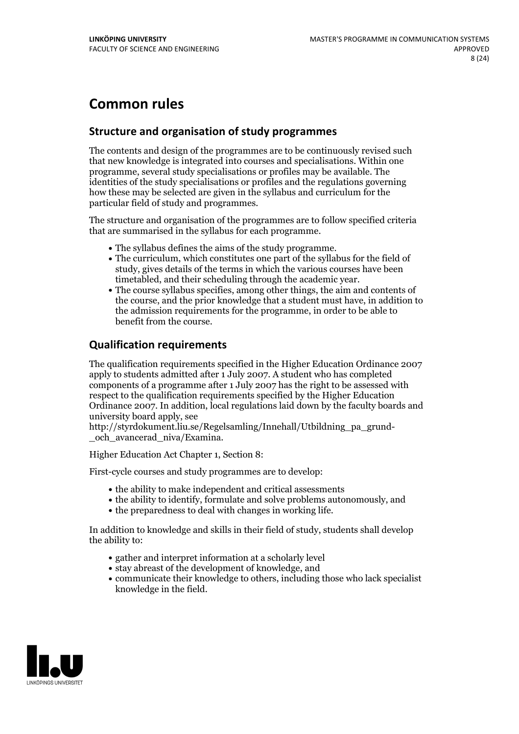# **Common rules**

# **Structure and organisation of study programmes**

The contents and design of the programmes are to be continuously revised such that new knowledge is integrated into courses and specialisations. Within one programme, several study specialisations or profiles may be available. The identities of the study specialisations or profiles and the regulations governing how these may be selected are given in the syllabus and curriculum for the particular field of study and programmes.

The structure and organisation of the programmes are to follow specified criteria that are summarised in the syllabus for each programme.

- 
- The syllabus defines the aims of the study programme.<br>• The curriculum, which constitutes one part of the syllabus for the field of study, gives details of the terms in which the various courses have been
- The course syllabus specifies, among other things, the aim and contents of the course, and the prior knowledge that a student must have, in addition to the admission requirements for the programme, in order to be able to benefit from the course.

# **Qualification requirements**

The qualification requirements specified in the Higher Education Ordinance 2007 apply to students admitted after 1 July 2007. A student who has completed components of a programme after 1 July 2007 has the right to be assessed with respect to the qualification requirements specified by the Higher Education Ordinance 2007. In addition, local regulations laid down by the faculty boards and university board apply, see

http://styrdokument.liu.se/Regelsamling/Innehall/Utbildning\_pa\_grund-och\_avancerad\_niva/Examina.

Higher Education Act Chapter 1, Section 8:

First-cycle courses and study programmes are to develop:

- the ability to make independent and critical assessments
- the ability to identify, formulate and solve problems autonomously, and
- the preparedness to deal with changes in working life.

In addition to knowledge and skills in their field of study, students shall develop the ability to:

- gather and interpret information at a scholarly level
- stay abreast of the development of knowledge, and
- communicate their knowledge to others, including those who lack specialist knowledge in the field.

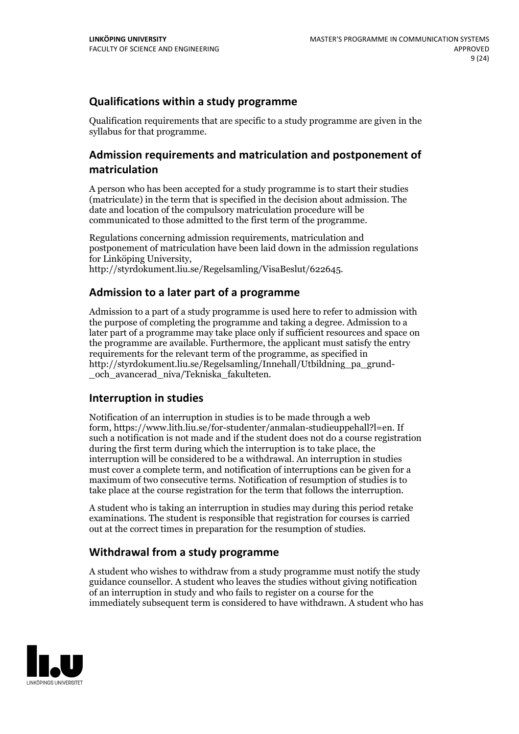# **Qualifications within a study programme**

Qualification requirements that are specific to a study programme are given in the syllabus for that programme.

# **Admission requirements and matriculation and postponement of matriculation**

A person who has been accepted for a study programme is to start their studies (matriculate) in the term that is specified in the decision about admission. The date and location of the compulsory matriculation procedure will be communicated to those admitted to the first term of the programme.

Regulations concerning admission requirements, matriculation and postponement of matriculation have been laid down in the admission regulations for Linköping University, http://styrdokument.liu.se/Regelsamling/VisaBeslut/622645.

# **Admission to a later part of a programme**

Admission to a part of a study programme is used here to refer to admission with the purpose of completing the programme and taking a degree. Admission to a later part of a programme may take place only if sufficient resources and space on the programme are available. Furthermore, the applicant must satisfy the entry requirements for the relevant term of the programme, as specified in http://styrdokument.liu.se/Regelsamling/Innehall/Utbildning\_pa\_grund- \_och\_avancerad\_niva/Tekniska\_fakulteten.

# **Interruption in studies**

Notification of an interruption in studies is to be made through a web form, https://www.lith.liu.se/for-studenter/anmalan-studieuppehall?l=en. If such a notification is not made and if the student does not do a course registration during the first term during which the interruption is to take place, the interruption will be considered to be a withdrawal. An interruption in studies must cover a complete term, and notification of interruptions can be given for a maximum of two consecutive terms. Notification of resumption of studies is to take place at the course registration for the term that follows the interruption.

A student who is taking an interruption in studies may during this period retake examinations. The student is responsible that registration for courses is carried out at the correct times in preparation for the resumption of studies.

# **Withdrawal from a study programme**

A student who wishes to withdraw from a study programme must notify the study guidance counsellor. A student who leaves the studies without giving notification of an interruption in study and who fails to register on a course for the immediately subsequent term is considered to have withdrawn. A student who has

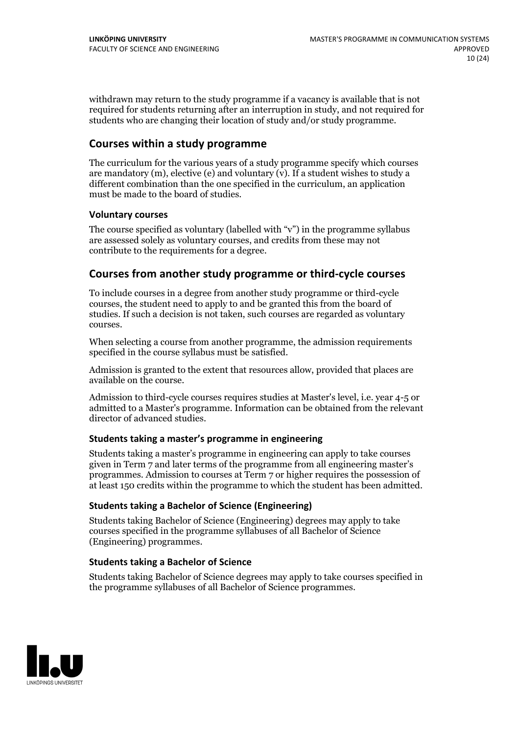withdrawn may return to the study programme if a vacancy is available that is not required for students returning after an interruption in study, and not required for students who are changing their location of study and/or study programme.

# **Courses within a study programme**

The curriculum for the various years of a study programme specify which courses are mandatory  $(m)$ , elective (e) and voluntary  $(v)$ . If a student wishes to study a different combination than the one specified in the curriculum, an application must be made to the board of studies.

### **Voluntarycourses**

The course specified as voluntary (labelled with "v") in the programme syllabus are assessed solely as voluntary courses, and credits from these may not contribute to the requirements for a degree.

# **Courses from another study programme orthird-cycle courses**

To include courses in a degree from another study programme or third-cycle courses, the student need to apply to and be granted this from the board of studies. If such a decision is not taken, such courses are regarded as voluntary courses.

When selecting a course from another programme, the admission requirements specified in the course syllabus must be satisfied.

Admission is granted to the extent that resources allow, provided that places are available on the course.

Admission to third-cycle courses requires studies at Master's level, i.e. year 4-5 or admitted to a Master's programme. Information can be obtained from the relevant director of advanced studies.

#### **Students taking a master's programme in engineering**

Students taking a master's programme in engineering can apply to take courses given in Term 7 and later terms of the programme from all engineering master's programmes. Admission to courses at Term 7 or higher requires the possession of at least 150 credits within the programme to which the student has been admitted.

#### **Students taking a Bachelor of Science (Engineering)**

Students taking Bachelor of Science (Engineering) degrees may apply to take courses specified in the programme syllabuses of all Bachelor of Science (Engineering) programmes.

## **Students taking a Bachelor of Science**

Students taking Bachelor of Science degrees may apply to take courses specified in the programme syllabuses of all Bachelor of Science programmes.

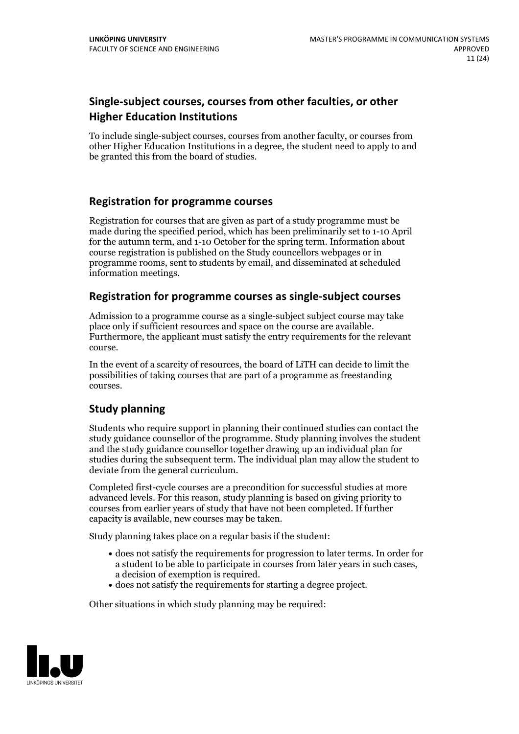# **Single-subject courses, courses from other faculties, or other Higher Education Institutions**

To include single-subject courses, courses from another faculty, or courses from other Higher Education Institutions in a degree, the student need to apply to and be granted this from the board of studies.

# **Registration for programme courses**

Registration for courses that are given as part of a study programme must be made during the specified period, which has been preliminarily set to 1-10 April for the autumn term, and 1-10 October for the spring term. Information about course registration is published on the Study councellors webpages or in programme rooms, sent to students by email, and disseminated at scheduled information meetings.

# **Registration for programme courses as single-subject courses**

Admission to a programme course as a single-subject subject course may take place only if sufficient resources and space on the course are available. Furthermore, the applicant must satisfy the entry requirements for the relevant course.

In the event of a scarcity of resources, the board of LiTH can decide to limit the possibilities of taking courses that are part of a programme as freestanding courses.

# **Study planning**

Students who require support in planning their continued studies can contact the study guidance counsellor of the programme. Study planning involves the student and the study guidance counsellor together drawing up an individual plan for studies during the subsequent term. The individual plan may allow the student to deviate from the general curriculum.

Completed first-cycle courses are a precondition for successful studies at more advanced levels. For this reason, study planning is based on giving priority to courses from earlier years of study that have not been completed. If further capacity is available, new courses may be taken.

Study planning takes place on a regular basis if the student:

- does not satisfy the requirements for progression to later terms. In order for a student to be able to participate in courses from later years in such cases, a decision of exemption is required.<br>
• does not satisfy the requirements for starting a degree project.
- 

Other situations in which study planning may be required:

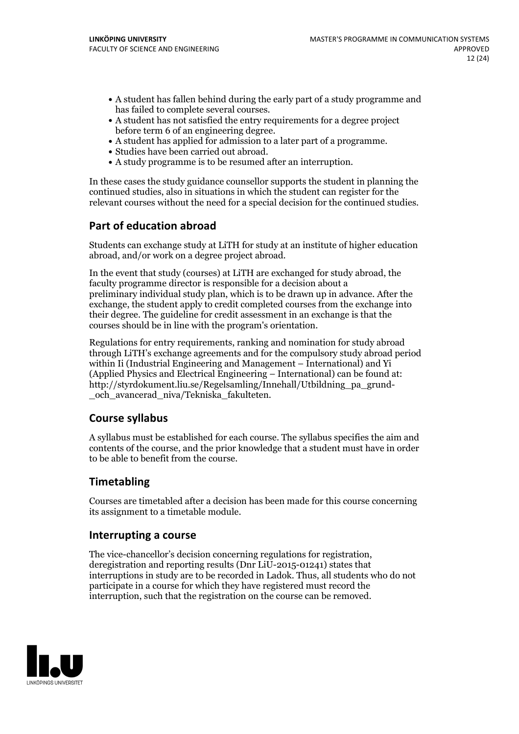- A student has fallen behind during the early part of a study programme and
- has failed to complete several courses.<br>• A student has not satisfied the entry requirements for a degree project<br>before term 6 of an engineering degree.
- A student has applied for admission to a later part of a programme.<br>• Studies have been carried out abroad.<br>• A study programme is to be resumed after an interruption.
- 
- 

In these cases the study guidance counsellor supports the student in planning the continued studies, also in situations in which the student can register for the relevant courses without the need for a special decision for the continued studies.

# **Part of education abroad**

Students can exchange study at LiTH for study at an institute of higher education abroad, and/or work on a degree project abroad.

In the event that study (courses) at LiTH are exchanged for study abroad, the faculty programme director is responsible for a decision about a preliminary individual study plan, which is to be drawn up in advance. After the exchange, the student apply to credit completed courses from the exchange into their degree. The guideline for credit assessment in an exchange is that the courses should be in line with the program's orientation.

Regulations for entry requirements, ranking and nomination for study abroad through LiTH's exchange agreements and for the compulsory study abroad period within Ii (Industrial Engineering and Management – International) and Yi (Applied Physics and Electrical Engineering – International) can be found at: http://styrdokument.liu.se/Regelsamling/Innehall/Utbildning\_pa\_grund- \_och\_avancerad\_niva/Tekniska\_fakulteten.

# **Course syllabus**

A syllabus must be established for each course. The syllabus specifies the aim and contents of the course, and the prior knowledge that a student must have in order to be able to benefit from the course.

# **Timetabling**

Courses are timetabled after a decision has been made for this course concerning its assignment to a timetable module.

## **Interrupting a course**

The vice-chancellor's decision concerning regulations for registration, deregistration and reporting results (Dnr LiU-2015-01241) states that interruptions in study are to be recorded in Ladok. Thus, all students who do not participate in a course for which they have registered must record the interruption, such that the registration on the course can be removed.

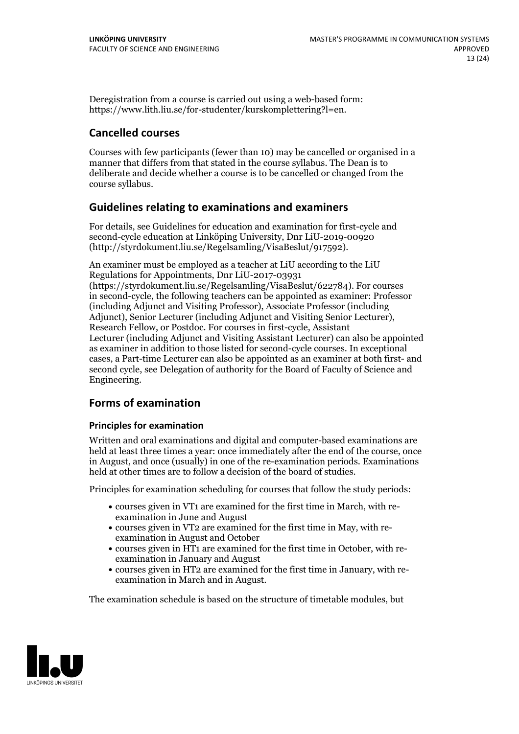Deregistration from a course is carried out using a web-based form: https://www.lith.liu.se/for-studenter/kurskomplettering?l=en.

# **Cancelled courses**

Courses with few participants (fewer than 10) may be cancelled or organised in a manner that differs from that stated in the course syllabus. The Dean is to deliberate and decide whether a course is to be cancelled or changed from the course syllabus.

# **Guidelines relatingto examinations and examiners**

For details, see Guidelines for education and examination for first-cycle and second-cycle education at Linköping University, Dnr LiU-2019-00920 (http://styrdokument.liu.se/Regelsamling/VisaBeslut/917592).

An examiner must be employed as a teacher at LiU according to the LiU Regulations for Appointments, Dnr LiU-2017-03931 (https://styrdokument.liu.se/Regelsamling/VisaBeslut/622784). For courses in second-cycle, the following teachers can be appointed as examiner: Professor (including Adjunct and Visiting Professor), Associate Professor (including Adjunct), Senior Lecturer (including Adjunct and Visiting Senior Lecturer), Research Fellow, or Postdoc. For courses in first-cycle, Assistant Lecturer (including Adjunct and Visiting Assistant Lecturer) can also be appointed as examiner in addition to those listed for second-cycle courses. In exceptional cases, a Part-time Lecturer can also be appointed as an examiner at both first- and second cycle, see Delegation of authority for the Board of Faculty of Science and Engineering.

# **Forms of examination**

## **Principles for examination**

Written and oral examinations and digital and computer-based examinations are held at least three times a year: once immediately after the end of the course, once in August, and once (usually) in one of the re-examination periods. Examinations held at other times are to follow a decision of the board of studies.

Principles for examination scheduling for courses that follow the study periods:

- courses given in VT1 are examined for the first time in March, with re-examination in June and August
- courses given in VT2 are examined for the first time in May, with re-examination in August and October
- courses given in HT1 are examined for the first time in October, with re-examination in January and August
- courses given in HT2 are examined for the first time in January, with re-examination in March and in August.

The examination schedule is based on the structure of timetable modules, but

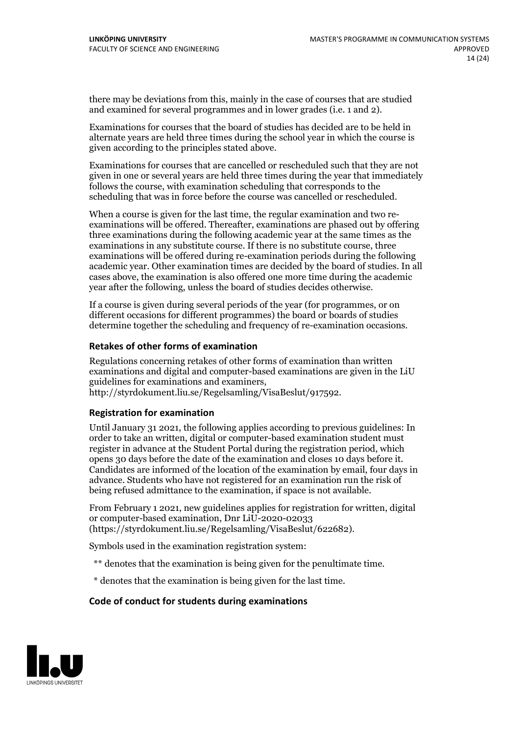there may be deviations from this, mainly in the case of courses that are studied and examined for several programmes and in lower grades (i.e. 1 and 2).

Examinations for courses that the board of studies has decided are to be held in alternate years are held three times during the school year in which the course is given according to the principles stated above.

Examinations for courses that are cancelled or rescheduled such that they are not given in one or several years are held three times during the year that immediately follows the course, with examination scheduling that corresponds to the scheduling that was in force before the course was cancelled or rescheduled.

When a course is given for the last time, the regular examination and two re-<br>examinations will be offered. Thereafter, examinations are phased out by offering three examinations during the following academic year at the same times as the examinations in any substitute course. If there is no substitute course, three examinations will be offered during re-examination periods during the following academic year. Other examination times are decided by the board of studies. In all cases above, the examination is also offered one more time during the academic year after the following, unless the board of studies decides otherwise.

If a course is given during several periods of the year (for programmes, or on different occasions for different programmes) the board or boards of studies determine together the scheduling and frequency of re-examination occasions.

#### **Retakes of other forms of examination**

Regulations concerning retakes of other forms of examination than written examinations and digital and computer-based examinations are given in the LiU guidelines for examinations and examiners, http://styrdokument.liu.se/Regelsamling/VisaBeslut/917592.

#### **Registration for examination**

Until January 31 2021, the following applies according to previous guidelines: In order to take an written, digital or computer-based examination student must register in advance at the Student Portal during the registration period, which opens <sup>30</sup> days before the date of the examination and closes <sup>10</sup> days before it. Candidates are informed of the location of the examination by email, four days in advance. Students who have not registered for an examination run the risk of being refused admittance to the examination, if space is not available.

From February 1 2021, new guidelines applies for registration for written, digital or computer-based examination, Dnr LiU-2020-02033 (https://styrdokument.liu.se/Regelsamling/VisaBeslut/622682).

Symbols used in the examination registration system:

- \*\* denotes that the examination is being given for the penultimate time.
- \* denotes that the examination is being given for the last time.

#### **Code of conduct for students during examinations**

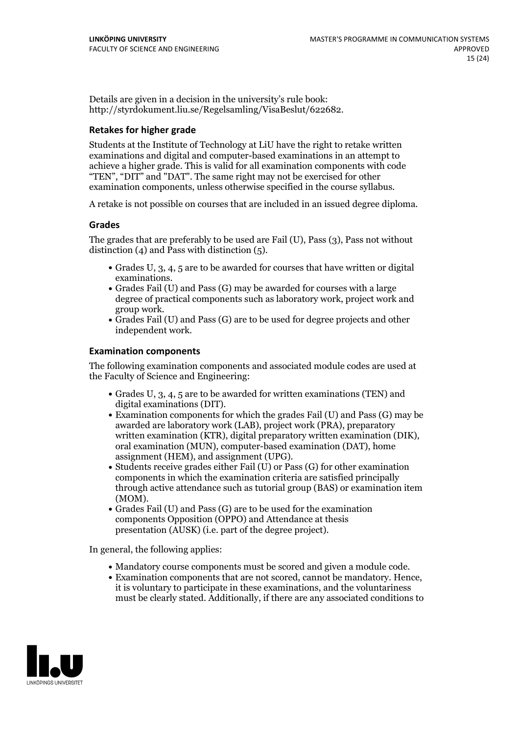Details are given in a decision in the university's rule book: http://styrdokument.liu.se/Regelsamling/VisaBeslut/622682.

## **Retakes for higher grade**

Students at the Institute of Technology at LiU have the right to retake written examinations and digital and computer-based examinations in an attempt to achieve a higher grade. This is valid for all examination components with code "TEN", "DIT" and "DAT". The same right may not be exercised for other examination components, unless otherwise specified in the course syllabus.

A retake is not possible on courses that are included in an issued degree diploma.

## **Grades**

The grades that are preferably to be used are Fail (U), Pass (3), Pass not without distinction  $(4)$  and Pass with distinction  $(5)$ .

- Grades U, 3, 4, 5 are to be awarded for courses that have written or digital examinations.<br>• Grades Fail (U) and Pass (G) may be awarded for courses with a large
- degree of practical components such as laboratory work, project work and
- Grades Fail (U) and Pass (G) are to be used for degree projects and other independent work.

### **Examination components**

The following examination components and associated module codes are used at the Faculty of Science and Engineering:

- Grades U, 3, 4, 5 are to be awarded for written examinations (TEN) and
- digital examinations (DIT).<br>• Examination components for which the grades Fail (U) and Pass (G) may be awarded are laboratory work (LAB), project work (PRA), preparatory written examination (KTR), digital preparatory written examination (DIK), oral examination (MUN), computer-based examination (DAT), home assignment (HEM), and assignment (UPG).
- Students receive grades either Fail (U) or Pass (G) for other examination components in which the examination criteria are satisfied principally through active attendance such as tutorial group (BAS) or examination item (MOM).<br>• Grades Fail (U) and Pass (G) are to be used for the examination
- components Opposition (OPPO) and Attendance at thesis presentation (AUSK) (i.e. part of the degree project).

In general, the following applies:

- 
- Mandatory course components must be scored and given <sup>a</sup> module code. Examination components that are not scored, cannot be mandatory. Hence, it is voluntary to participate in these examinations, and the voluntariness must be clearly stated. Additionally, if there are any associated conditions to

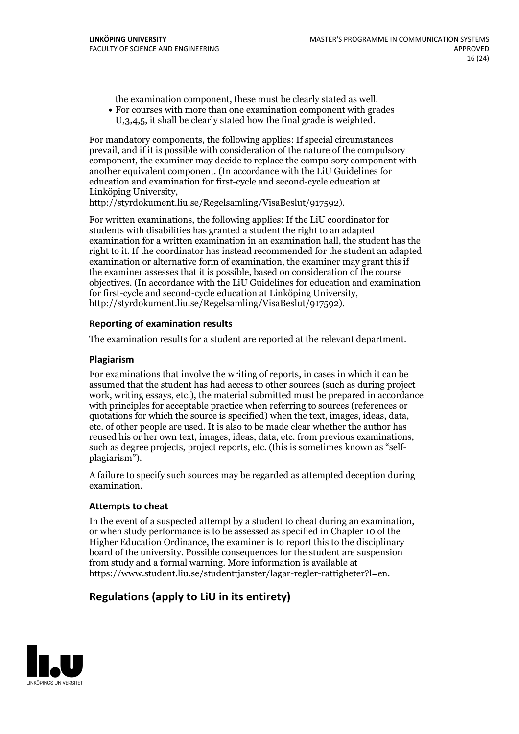the examination component, these must be clearly stated as well.<br>• For courses with more than one examination component with grades

U,3,4,5, it shall be clearly stated how the final grade is weighted.

For mandatory components, the following applies: If special circumstances prevail, and if it is possible with consideration of the nature of the compulsory component, the examiner may decide to replace the compulsory component with another equivalent component. (In accordance with the LiU Guidelines for education and examination for first-cycle and second-cycle education at Linköping University, http://styrdokument.liu.se/Regelsamling/VisaBeslut/917592).

For written examinations, the following applies: If the LiU coordinator for students with disabilities has granted a student the right to an adapted examination for a written examination in an examination hall, the student has the right to it. If the coordinator has instead recommended for the student an adapted examination or alternative form of examination, the examiner may grant this if the examiner assesses that it is possible, based on consideration of the course objectives. (In accordance with the LiU Guidelines for education and examination for first-cycle and second-cycle education at Linköping University, http://styrdokument.liu.se/Regelsamling/VisaBeslut/917592).

## **Reporting of examination results**

The examination results for a student are reported at the relevant department.

### **Plagiarism**

For examinations that involve the writing of reports, in cases in which it can be assumed that the student has had access to other sources (such as during project work, writing essays, etc.), the material submitted must be prepared in accordance with principles for acceptable practice when referring to sources (references or quotations for which the source is specified) when the text, images, ideas, data.  $\text{etc.}$  of other people are used. It is also to be made clear whether the author has reused his or her own text, images, ideas, data, etc. from previous examinations, such as degree projects, project reports, etc. (this is sometimes known as "self-<br>plagiarism").

A failure to specify such sources may be regarded as attempted deception during examination.

#### **Attempts to cheat**

In the event of <sup>a</sup> suspected attempt by <sup>a</sup> student to cheat during an examination, or when study performance is to be assessed as specified in Chapter <sup>10</sup> of the Higher Education Ordinance, the examiner is to report this to the disciplinary board of the university. Possible consequences for the student are suspension from study and a formal warning. More information is available at https://www.student.liu.se/studenttjanster/lagar-regler-rattigheter?l=en.

# **Regulations (applyto LiU in its entirety)**

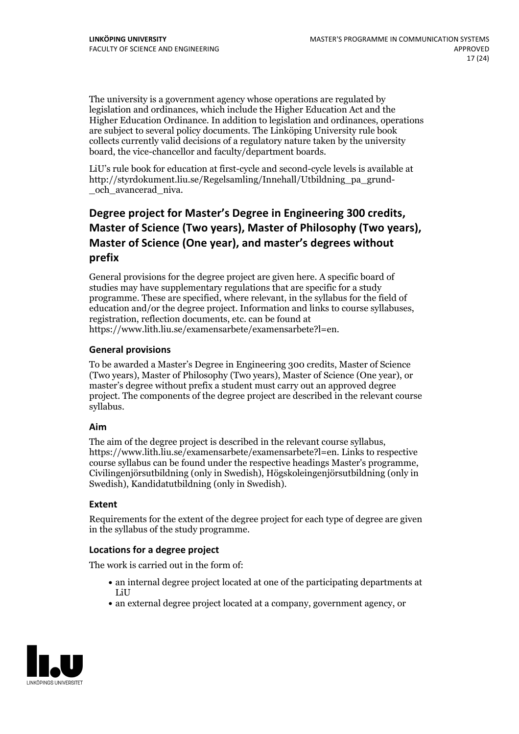The university is a government agency whose operations are regulated by legislation and ordinances, which include the Higher Education Act and the Higher Education Ordinance. In addition to legislation and ordinances, operations are subject to several policy documents. The Linköping University rule book collects currently valid decisions of a regulatory nature taken by the university board, the vice-chancellor and faculty/department boards.

LiU's rule book for education at first-cycle and second-cycle levels is available at http://styrdokument.liu.se/Regelsamling/Innehall/Utbildning\_pa\_grund- \_och\_avancerad\_niva.

# **Degree project for Master's Degree in Engineering 300 credits, Master** of Science (Two years), Master of Philosophy (Two years), **Master** of Science (One year), and master's degrees without **prefix**

General provisions for the degree project are given here. A specific board of studies may have supplementary regulations that are specific for a study programme. These are specified, where relevant, in the syllabus for the field of education and/or the degree project. Information and links to course syllabuses, registration, reflection documents, etc. can be found at https://www.lith.liu.se/examensarbete/examensarbete?l=en.

# **General provisions**

To be awarded a Master's Degree in Engineering 300 credits, Master of Science (Two years), Master of Philosophy (Two years), Master of Science (One year), or master's degree without prefix a student must carry out an approved degree project. The components of the degree project are described in the relevant course syllabus.

## **Aim**

The aim of the degree project is described in the relevant course syllabus, https://www.lith.liu.se/examensarbete/examensarbete?l=en. Links to respective Civilingenjörsutbildning (only in Swedish), Högskoleingenjörsutbildning (only in Swedish), Kandidatutbildning (only in Swedish).

## **Extent**

Requirements for the extent of the degree project for each type of degree are given in the syllabus of the study programme.

# **Locations for a degree project**

The work is carried out in the form of:

- an internal degree project located at one of the participating departments at LiU
- an external degree project located at a company, government agency, or

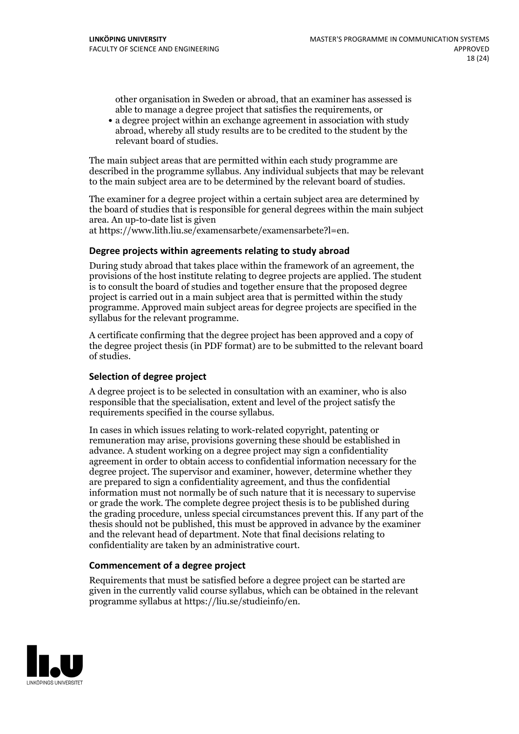other organisation in Sweden or abroad, that an examiner has assessed is able to manage a degree project that satisfies the requirements, or

a degree project within an exchange agreement in association with study abroad, whereby all study results are to be credited to the student by the relevant board of studies.

The main subject areas that are permitted within each study programme are described in the programme syllabus. Any individual subjects that may be relevant to the main subject area are to be determined by the relevant board of studies.

The examiner for a degree project within a certain subject area are determined by the board of studies that is responsible for general degrees within the main subject area. An up-to-date list is given

at https://www.lith.liu.se/examensarbete/examensarbete?l=en.

### **Degree projects within agreements relatingto study abroad**

During study abroad that takes place within the framework of an agreement, the provisions of the host institute relating to degree projects are applied. The student is to consult the board of studies and together ensure that the proposed degree project is carried out in a main subject area that is permitted within the study programme. Approved main subject areas for degree projects are specified in the syllabus for the relevant programme.

A certificate confirming that the degree project has been approved and a copy of the degree project thesis (in PDF format) are to be submitted to the relevant board of studies.

#### **Selection of degree project**

A degree project is to be selected in consultation with an examiner, who is also responsible that the specialisation, extent and level of the project satisfy the requirements specified in the course syllabus.

In cases in which issues relating to work-related copyright, patenting or remuneration may arise, provisions governing these should be established in advance. A student working on a degree project may sign a confidentiality agreement in order to obtain access to confidential information necessary for the degree project. The supervisor and examiner, however, determine whether they are prepared to sign a confidentiality agreement, and thus the confidential information must not normally be of such nature that it is necessary to supervise or grade the work. The complete degree project thesis is to be published during the grading procedure, unless special circumstances prevent this. If any part of the thesis should not be published, this must be approved in advance by the examiner and the relevant head of department. Note that final decisions relating to confidentiality are taken by an administrative court.

#### **Commencement of a degree project**

Requirements that must be satisfied before a degree project can be started are given in the currently valid course syllabus, which can be obtained in the relevant programme syllabus at https://liu.se/studieinfo/en.

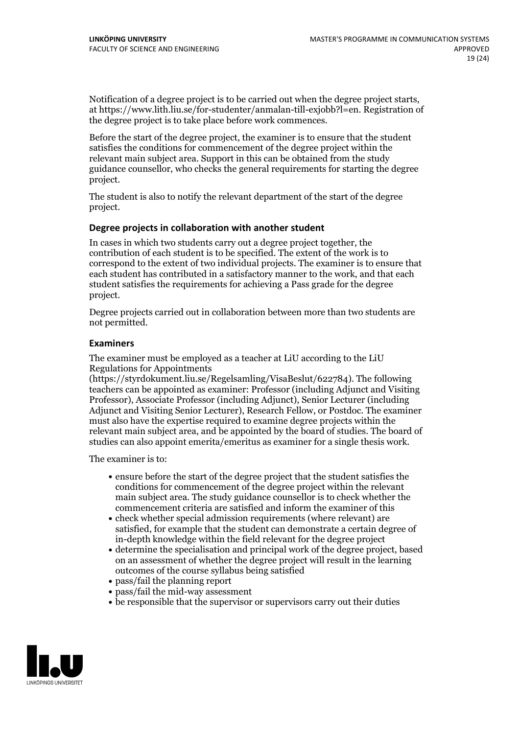Notification of <sup>a</sup> degree project is to be carried outwhen the degree project starts, at https://www.lith.liu.se/for-studenter/anmalan-till-exjobb?l=en. Registration of the degree project is to take place before work commences.

Before the start of the degree project, the examiner is to ensure that the student satisfies the conditions for commencement of the degree project within the relevant main subject area. Support in this can be obtained from the study guidance counsellor, who checks the general requirements for starting the degree project.

The student is also to notify the relevant department of the start of the degree project.

#### **Degree projects in collaboration with another student**

In cases in which two students carry out a degree project together, the contribution of each student is to be specified. The extent of the work is to correspond to the extent of two individual projects. The examiner is to ensure that each student has contributed in a satisfactory manner to the work, and that each student satisfies the requirements for achieving a Pass grade for the degree project.

Degree projects carried out in collaboration between more than two students are not permitted.

### **Examiners**

The examiner must be employed as a teacher at LiU according to the LiU Regulations for Appointments

(https://styrdokument.liu.se/Regelsamling/VisaBeslut/622784). The following teachers can be appointed as examiner: Professor (including Adjunct and Visiting Professor), Associate Professor (including Adjunct), Senior Lecturer (including Adjunct and Visiting Senior Lecturer), Research Fellow, or Postdoc. The examiner must also have the expertise required to examine degree projects within the relevant main subject area, and be appointed by the board of studies. The board of studies can also appoint emerita/emeritus as examiner for a single thesis work.

The examiner is to:

- ensure before the start of the degree project that the student satisfies the conditions for commencement of the degree project within the relevant main subject area. The study guidance counsellor is to check whether the commencement criteria are satisfied and inform the examiner of this
- check whether special admission requirements (where relevant) are satisfied, for example that the student can demonstrate a certain degree of in-depth knowledge within the field relevant for the degree project
- determine the specialisation and principal work of the degree project, based on an assessment of whether the degree project will result in the learning outcomes of the course syllabus being satisfied
- pass/fail the planning report
- pass/fail the mid-way assessment
- be responsible that the supervisor or supervisors carry out their duties

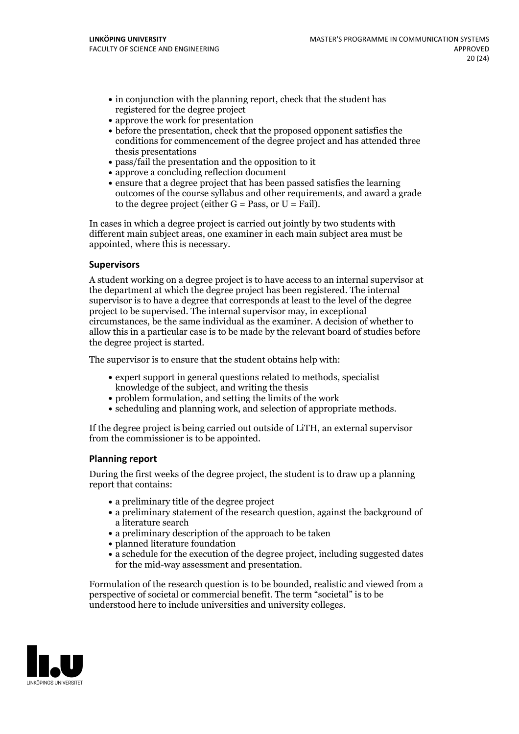- in conjunction with the planning report, check that the student has registered for the degree project
- approve the work for presentation
- before the presentation, check that the proposed opponent satisfies the conditions for commencement of the degree project and has attended three thesis presentations
- pass/fail the presentation and the opposition to it
- approve a concluding reflection document
- ensure that a degree project that has been passed satisfies the learning outcomes of the course syllabus and other requirements, and award a grade to the degree project (either  $G = Pass$ , or  $U = Fail$ ).

In cases in which a degree project is carried out jointly by two students with different main subject areas, one examiner in each main subject area must be appointed, where this is necessary.

### **Supervisors**

A student working on a degree project is to have access to an internal supervisor at the department at which the degree project has been registered. The internal supervisor is to have a degree that corresponds at least to the level of the degree project to be supervised. The internal supervisor may, in exceptional circumstances, be the same individual as the examiner. A decision of whether to allow this in a particular case is to be made by the relevant board of studies before the degree project is started.

The supervisor is to ensure that the student obtains help with:

- expert support in general questions related to methods, specialist knowledge of the subject, and writing the thesis
- problem formulation, and setting the limits of the work
- scheduling and planning work, and selection of appropriate methods.

If the degree project is being carried out outside of LiTH, an external supervisor from the commissioner is to be appointed.

## **Planning report**

During the first weeks of the degree project, the student is to draw up a planning report that contains:

- $\bullet$  a preliminary title of the degree project
- a preliminary statement of the research question, against the background of a literature search
- a preliminary description of the approach to be taken
- planned literature foundation
- a schedule for the execution of the degree project, including suggested dates for the mid-way assessment and presentation.

Formulation of the research question is to be bounded, realistic and viewed from a perspective of societal or commercial benefit. The term "societal" is to be understood here to include universities and university colleges.

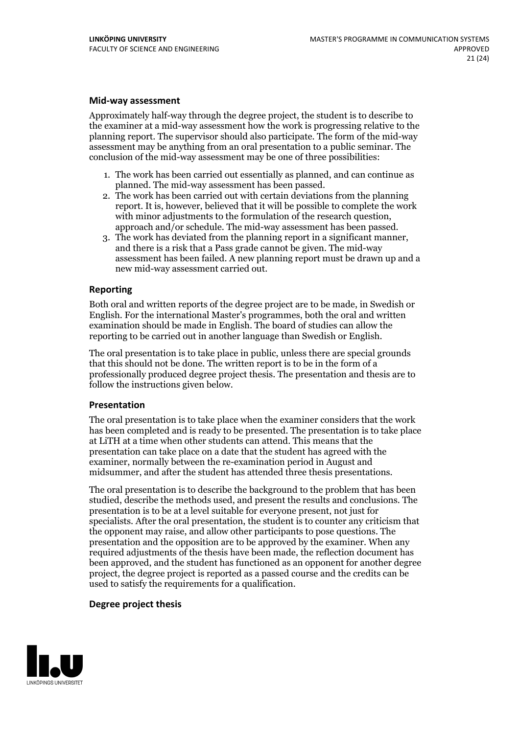#### **Mid-way assessment**

Approximately half-way through the degree project, the student is to describe to the examiner at a mid-way assessment how the work is progressing relative to the planning report. The supervisor should also participate. The form of the mid-way assessment may be anything from an oral presentation to a public seminar. The conclusion of the mid-way assessment may be one of three possibilities:

- 1. The work has been carried out essentially as planned, and can continue as
- planned. The mid-way assessment has been passed. 2. The work has been carried outwith certain deviations from the planning report. It is, however, believed that it will be possible to complete the work
- approach and/or schedule. The mid-way assessment has been passed.<br>3. The work has deviated from the planning report in a significant manner,<br>and there is a risk that a Pass grade cannot be given. The mid-way assessment has been failed. A new planning report must be drawn up and a new mid-way assessment carried out.

#### **Reporting**

Both oral and written reports of the degree project are to be made, in Swedish or English. For the international Master's programmes, both the oral and written examination should be made in English. The board of studies can allow the reporting to be carried out in another language than Swedish or English.

The oral presentation is to take place in public, unless there are special grounds that this should not be done. The written report is to be in the form of a professionally produced degree project thesis. The presentation and thesis are to follow the instructions given below.

#### **Presentation**

The oral presentation is to take place when the examiner considers that the work has been completed and is ready to be presented. The presentation is to take place at LiTH at a time when other students can attend. This means that the presentation can take place on a date that the student has agreed with the examiner, normally between the re-examination period in August and midsummer, and after the student has attended three thesis presentations.

The oral presentation is to describe the background to the problem that has been studied, describe the methods used, and present the results and conclusions. The presentation is to be at a level suitable for everyone present, not just for specialists. After the oral presentation, the student is to counter any criticism that the opponent may raise, and allow other participants to pose questions. The presentation and the opposition are to be approved by the examiner. When any required adjustments of the thesis have been made, the reflection document has been approved, and the student has functioned as an opponent for another degree project, the degree project is reported as a passed course and the credits can be used to satisfy the requirements for a qualification.

#### **Degree project thesis**

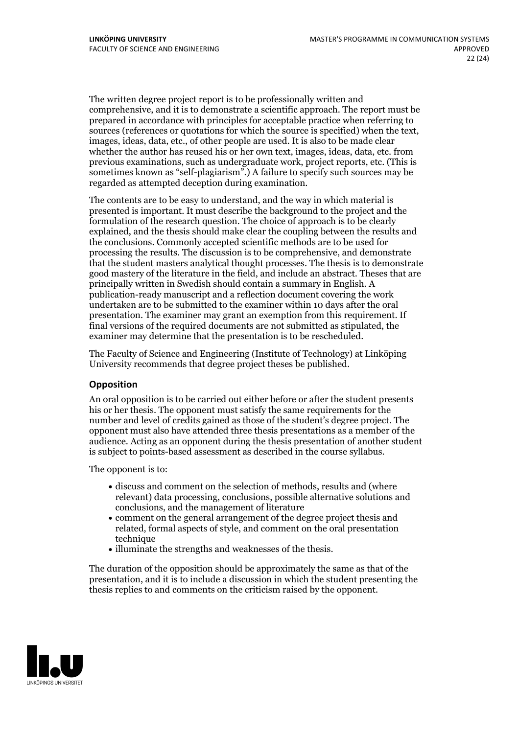The written degree project report is to be professionally written and comprehensive, and it is to demonstrate a scientific approach. The report must be prepared in accordance with principles for acceptable practice when referring to sources (references or quotations for which the source is specified) when the text, images, ideas, data, etc., of other people are used. It is also to be made clear whether the author has reused his or her own text, images, ideas, data, etc. from previous examinations, such asundergraduate work, project reports, etc. (This is sometimes known as "self-plagiarism".) A failure to specify such sources may be regarded as attempted deception during examination.

The contents are to be easy to understand, and the way in which material is presented is important. It must describe the background to the project and the formulation of the research question. The choice of approach is to be clearly explained, and the thesis should make clear the coupling between the results and the conclusions. Commonly accepted scientific methods are to be used for processing the results. The discussion is to be comprehensive, and demonstrate that the student masters analytical thought processes. The thesis is to demonstrate good mastery of the literature in the field, and include an abstract. Theses that are principally written in Swedish should contain a summary in English. A publication-ready manuscript and a reflection document covering the work undertaken are to be submitted to the examiner within 10 days after the oral presentation. The examiner may grant an exemption from this requirement. If final versions of the required documents are not submitted as stipulated, the examiner may determine that the presentation is to be rescheduled.

The Faculty of Science and Engineering (Institute of Technology) at Linköping University recommends that degree project theses be published.

## **Opposition**

An oral opposition is to be carried out either before or after the student presents his or her thesis. The opponent must satisfy the same requirements for the number and level of credits gained as those ofthe student's degree project. The opponent must also have attended three thesis presentations as a member of the audience. Acting as an opponent during the thesis presentation of another student is subject to points-based assessment as described in the course syllabus.

The opponent is to:

- discuss and comment on the selection of methods, results and (where relevant) data processing, conclusions, possible alternative solutions and conclusions, and the management of literature
- comment on the general arrangement of the degree project thesis and related, formal aspects of style, and comment on the oral presentation technique
- illuminate the strengths and weaknesses of the thesis.

The duration of the opposition should be approximately the same as that of the presentation, and it is to include a discussion in which the student presenting the thesis replies to and comments on the criticism raised by the opponent.

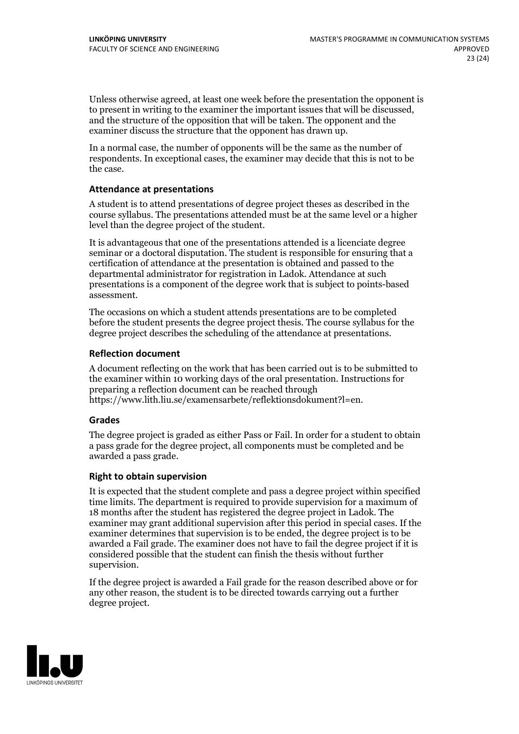Unless otherwise agreed, at least one week before the presentation the opponent is to present in writing to the examiner the important issues that will be discussed, and the structure ofthe opposition that will be taken. The opponent and the examiner discuss the structure that the opponent has drawn up.

In a normal case, the number of opponents will be the same as the number of respondents. In exceptional cases, the examiner may decide that this is not to be the case.

#### **Attendance at presentations**

A student is to attend presentations of degree project theses as described in the course syllabus. The presentations attended must be at the same level or a higher level than the degree project of the student.

It is advantageous that one of the presentations attended is a licenciate degree seminar or a doctoral disputation. The student is responsible for ensuring that a certification of attendance at the presentation is obtained and passed to the departmental administrator for registration in Ladok. Attendance at such presentations is a component of the degree work that is subject to points-based assessment.

The occasions on which a student attends presentations are to be completed before the student presents the degree project thesis. The course syllabus for the degree project describes the scheduling of the attendance at presentations.

### **Reflection document**

A document reflecting on the work that has been carried outis to be submitted to the examiner within 10 working days of the oral presentation. Instructions for preparing a reflection document can be reached through https://www.lith.liu.se/examensarbete/reflektionsdokument?l=en.

#### **Grades**

The degree project is graded as either Pass or Fail. In order for a student to obtain a pass grade for the degree project, all components must be completed and be awarded a pass grade.

#### **Right to obtain supervision**

It is expected that the student complete and pass a degree project within specified time limits. The department is required to provide supervision for a maximum of 18 months after the student has registered the degree project in Ladok. The examiner may grant additional supervision after this period in special cases. If the examiner determines that supervision is to be ended, the degree project is to be awarded a Fail grade. The examiner does not have to fail the degree project if it is considered possible that the student can finish the thesis without further supervision.

If the degree project is awarded a Fail grade for the reason described above or for any other reason, the student is to be directed towards carrying out a further degree project.